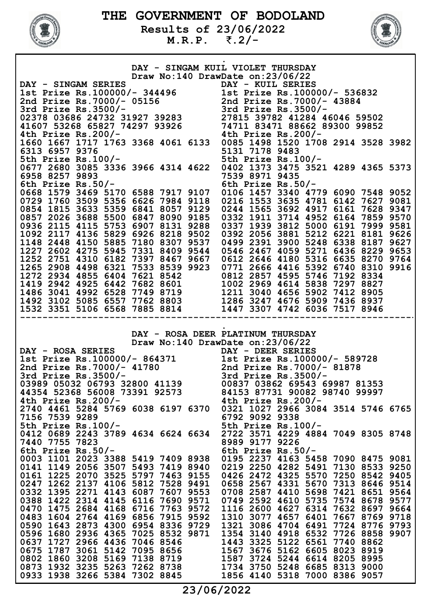

Results of 23/06/2022 M.R.P. ₹.2/-



|                                                                                                                                                                                                                                                                   | DAY - SINGAM KUIL VIOLET THURSDAY                                                                                                                            |
|-------------------------------------------------------------------------------------------------------------------------------------------------------------------------------------------------------------------------------------------------------------------|--------------------------------------------------------------------------------------------------------------------------------------------------------------|
|                                                                                                                                                                                                                                                                   | Draw No:140 DrawDate on:23/06/22                                                                                                                             |
| DAY - SINGAM SERIES<br>1st Prize Rs.100000/- 344496<br>2nd Prize Rs.7000/- 05156<br>3rd Prize Rs.3500/-<br>02378 03686 24732 31927 39283<br>41607 53268 65827 74297 93926<br>4th Prize Rs.200/-<br>4th Prize Rs.200/-<br>4th Prize Rs.200/-<br>4                  |                                                                                                                                                              |
|                                                                                                                                                                                                                                                                   |                                                                                                                                                              |
|                                                                                                                                                                                                                                                                   |                                                                                                                                                              |
|                                                                                                                                                                                                                                                                   |                                                                                                                                                              |
|                                                                                                                                                                                                                                                                   |                                                                                                                                                              |
|                                                                                                                                                                                                                                                                   |                                                                                                                                                              |
|                                                                                                                                                                                                                                                                   | 1660 1667 1717 1763 3368 4061 6133 0085 1498 1520 1708 2914 3528 3982                                                                                        |
| 6313 6957 9376                                                                                                                                                                                                                                                    | 5131 7178 9483                                                                                                                                               |
| 5th Prize Rs.100/-                                                                                                                                                                                                                                                | 5th Prize Rs.100/-                                                                                                                                           |
| 0677 2680 3085 3336 3966 4314 4622                                                                                                                                                                                                                                | 0402 1373 3475 3521 4289 4365 5373                                                                                                                           |
| 6958 8257 9893                                                                                                                                                                                                                                                    | 7539 8971 9435                                                                                                                                               |
| 6th Prize $Rs.50/-$                                                                                                                                                                                                                                               | 6th Prize $Rs.50/-$                                                                                                                                          |
|                                                                                                                                                                                                                                                                   | 0668 1579 3469 5170 6588 7917 9107 0106 1457 3340 4779 6090 7548 9052                                                                                        |
|                                                                                                                                                                                                                                                                   | 0729 1760 3509 5356 6626 7984 9118 0216 1553 3635 4781 6142 7627 9081                                                                                        |
| 0854 1815 3633 5359 6841 8057 9129                                                                                                                                                                                                                                | 0244 1565 3692 4917 6161 7628 9347                                                                                                                           |
| 0857 2026 3688 5500 6847 8090 9185                                                                                                                                                                                                                                | 0332 1911 3714 4952 6164 7859 9570                                                                                                                           |
|                                                                                                                                                                                                                                                                   | 0936 2115 4115 5753 6907 8131 9288 0337 1939 3812 5000 6191 7999 9581                                                                                        |
|                                                                                                                                                                                                                                                                   | 1092 2117 4136 5829 6926 8218 9502 0392 2056 3881 5212 6221 8181 9626                                                                                        |
|                                                                                                                                                                                                                                                                   | 1148 2448 4150 5885 7180 8307 9537 0499 2391 3900 5248 6338 8187 9627                                                                                        |
|                                                                                                                                                                                                                                                                   | 1227 2602 4275 5945 7331 8409 9544 0546 2467 4059 5271 6436 8229 9653                                                                                        |
| 1252 2751 4310 6182 7397 8467 9667                                                                                                                                                                                                                                | 0612 2646 4180 5316 6635 8270 9764                                                                                                                           |
| 1265 2908 4498 6321 7533 8539 9923                                                                                                                                                                                                                                | 0771 2666 4416 5392 6740 8310 9916                                                                                                                           |
|                                                                                                                                                                                                                                                                   |                                                                                                                                                              |
|                                                                                                                                                                                                                                                                   |                                                                                                                                                              |
| 1272 2934 4855 6404 7621 8542<br>1419 2942 4925 6442 7682 8601<br>1486 3041 4992 6528 7749 8719<br>1492 3102 5085 6557 7762 8803<br>1492 3102 5085 6557 7762 8803<br>1492 3102 5085 6557 7762 8803<br>1286 3247 4676 5909 7436 8937                               |                                                                                                                                                              |
|                                                                                                                                                                                                                                                                   |                                                                                                                                                              |
| 1532 3351 5106 6568 7885 8814 1447 3307 4742 6036 7517 8946                                                                                                                                                                                                       |                                                                                                                                                              |
|                                                                                                                                                                                                                                                                   |                                                                                                                                                              |
| DAY - ROSA SERIES<br>DAY - ROSA SERIES<br>1st Prize Rs.100000/- 864371<br>2nd Prize Rs.7000/- 41780<br>3rd Prize Rs.3500/-<br>3rd Prize Rs.3500/-<br>3rd Prize Rs.3500/-<br>3rd Prize Rs.3500/-<br>03989 05032 06793 32800 41139<br>44354 52368 56008 73391 92573 | DAY - ROSA DEER PLATINUM THURSDAY<br>Draw No:140 DrawDate on:23/06/22<br>DAY - DEER SERIES<br>00837 03862 69543 69987 81353<br>84153 87731 90082 98740 99997 |
| 4th Prize $Rs.200/-$                                                                                                                                                                                                                                              | 4th Prize Rs. $200/-$                                                                                                                                        |
| 2740 4461 5284 5769 6038 6197 6370                                                                                                                                                                                                                                | 0321 1027 2966 3084 3514 5746 6765                                                                                                                           |
| 7156 7539 9289<br>5th Prize Rs.100/-                                                                                                                                                                                                                              | 6792 9092 9338<br>5th Prize Rs.100/-                                                                                                                         |
| 0412 0689 2243 3789 4634 6624 6634                                                                                                                                                                                                                                | 2722 3571 4229 4884 7049 8305 8748                                                                                                                           |
| 7440 7755 7823                                                                                                                                                                                                                                                    | 8989 9177 9226                                                                                                                                               |
| 6th Prize $Rs.50/-$                                                                                                                                                                                                                                               | 6th Prize $Rs.50/-$                                                                                                                                          |
| 0003 1101 2023 3388 5419 7409 8938                                                                                                                                                                                                                                | 0195 2237<br>4163 5458 7090 8475 9081                                                                                                                        |
| 0141 1149 2056 3507 5493 7419 8940                                                                                                                                                                                                                                | 0219 2250 4282 5491 7130 8533 9250                                                                                                                           |
| 0161<br>1225 2070<br>3525 5797 7463 9155                                                                                                                                                                                                                          | 0426 2472<br>4325 5570 7250 8542 9405                                                                                                                        |
| 1262 2137 4106 5812 7528 9491<br>0247                                                                                                                                                                                                                             | 5670 7313 8646 9514<br>0658 2567<br>4331                                                                                                                     |
| 1395 2271 4143 6087<br>7607 9553<br>0332                                                                                                                                                                                                                          | 0708 2587 4410<br>5698 7421 8651 9564                                                                                                                        |
| 1422 2314 4145 6116 7690 9571<br>0388                                                                                                                                                                                                                             | 0749 2592 4610 5735 7574 8678 9577                                                                                                                           |
| 0470 1475 2684 4168 6716 7763 9572                                                                                                                                                                                                                                | 1116 2600 4627 6314 7632 8697 9664                                                                                                                           |
| 0483 1604 2764 4169 6856 7915 9592                                                                                                                                                                                                                                | 1310 3077 4657 6401 7667 8769 9718                                                                                                                           |
| 0590 1643 2873 4300 6954 8336 9729                                                                                                                                                                                                                                | 1321 3086 4704 6491 7724 8776 9793                                                                                                                           |
| 0596 1680 2936 4365 7025 8532 9871                                                                                                                                                                                                                                | 1354 3140 4918 6532 7726 8858 9907                                                                                                                           |
| 0637 1727 2966 4436 7046 8546                                                                                                                                                                                                                                     | 1443 3325 5122 6561 7740 8862                                                                                                                                |
| 0675 1787 3061 5142 7095 8656                                                                                                                                                                                                                                     | 1567 3676 5162 6605 8023 8919                                                                                                                                |
| 0802 1860 3208 5169 7138 8719                                                                                                                                                                                                                                     | 1587 3724 5244 6614 8205 8995                                                                                                                                |
| 0873 1932 3235 5263 7262 8738<br>0933 1938 3266 5384 7302 8845                                                                                                                                                                                                    | 1734 3750 5248 6685 8313 9000<br>1856 4140 5318 7000 8386 9057                                                                                               |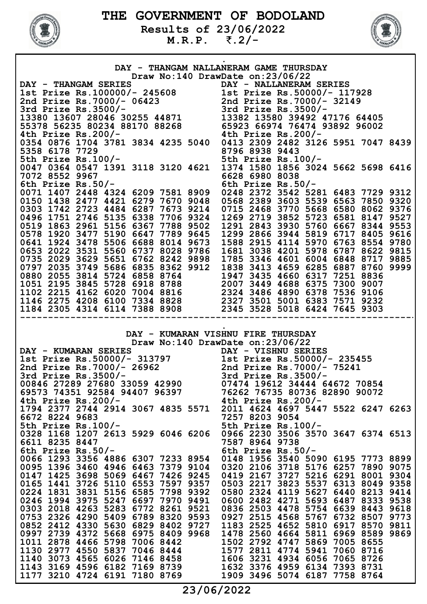

Results of 23/06/2022 M.R.P. ₹.2/-



|                                                                                                                                                                                                                                                  | DAY - THANGAM NALLANERAM GAME THURSDAY                                   |
|--------------------------------------------------------------------------------------------------------------------------------------------------------------------------------------------------------------------------------------------------|--------------------------------------------------------------------------|
|                                                                                                                                                                                                                                                  | Draw No:140 DrawDate on:23/06/22                                         |
| DAY - THANGAM SERIES<br>1st Prize Rs.100000/- 245608<br>2nd Prize Rs.7000/- 06423<br>3rd Prize Rs.3500/-<br>13380 13607 28046 30255 44871<br>55379 56335 90334 93170 990600<br>55379 56335 90334 99170 990600<br>55379 56335 90334 99170 990     |                                                                          |
|                                                                                                                                                                                                                                                  |                                                                          |
|                                                                                                                                                                                                                                                  |                                                                          |
|                                                                                                                                                                                                                                                  |                                                                          |
|                                                                                                                                                                                                                                                  |                                                                          |
| 55378 56235 80234 88170 88268<br>4th Prize Rs.200/-<br>4th Prize Rs.200/-<br>4th Prize Rs.200/-                                                                                                                                                  |                                                                          |
|                                                                                                                                                                                                                                                  | 0354 0876 1704 3781 3834 4235 5040 0413 2309 2482 3126 5951 7047 8439    |
| 5358 6178 7729                                                                                                                                                                                                                                   | 8796 8938 9443                                                           |
| 5358 6178 7729<br>5th Prize Rs.100/- 5th Prize Rs.100/-                                                                                                                                                                                          |                                                                          |
|                                                                                                                                                                                                                                                  | 0047 0364 0547 1391 3118 3120 4621 1374 1580 1856 3024 5662 5698 6416    |
| 7072 8552 9967                                                                                                                                                                                                                                   | 6628 6980 8038                                                           |
| 6th Prize Rs.50/-                                                                                                                                                                                                                                | 6th Prize Rs.50/-                                                        |
|                                                                                                                                                                                                                                                  | 0071 1407 2448 4324 6209 7581 8909 0248 2372 3542 5281 6483 7729 9312    |
|                                                                                                                                                                                                                                                  | 0150 1438 2477 4421 6279 7670 9048 0568 2389 3603 5539 6563 7850 9320    |
|                                                                                                                                                                                                                                                  | 0303 1742 2723 4484 6287 7673 9214 0715 2468 3770 5668 6580 8062 9376    |
|                                                                                                                                                                                                                                                  | 0496 1751 2746 5135 6338 7706 9324 1269 2719 3852 5723 6581 8147 9527    |
|                                                                                                                                                                                                                                                  | 0519 1863 2961 5156 6367 7788 9502 1291 2843 3930 5760 6667 8344 9553    |
|                                                                                                                                                                                                                                                  | 0578 1920 3477 5190 6647 7789 9645 1299 2866 3944 5819 6717 8405 9616    |
|                                                                                                                                                                                                                                                  | 0641 1924 3478 5506 6688 8014 9673 1588 2915 4114 5970 6763 8554 9780    |
|                                                                                                                                                                                                                                                  | 0653 2022 3531 5560 6737 8028 9786 1681 3038 4201 5978 6787 8622 9815    |
| 0735 2029 3629 5651 6762 8242 9898                                                                                                                                                                                                               | 1785 3346 4601 6004 6848 8717 9885                                       |
| 0797 2035 3749 5686 6835 8362 9912                                                                                                                                                                                                               | 1838 3413 4659 6285 6887 8760 9999                                       |
|                                                                                                                                                                                                                                                  |                                                                          |
|                                                                                                                                                                                                                                                  |                                                                          |
|                                                                                                                                                                                                                                                  |                                                                          |
|                                                                                                                                                                                                                                                  |                                                                          |
| 0880 2055 3814 5724 6858 8764<br>1947 3435 4660 6317 7251 8836<br>1051 2195 3845 5728 6918 8788<br>1102 2215 4162 6020 7004 8816<br>1146 2275 4208 6100 7334 8828<br>1184 2305 4314 6114 7388 8908<br>2345 3528 5018 6424 7645 9303              |                                                                          |
|                                                                                                                                                                                                                                                  |                                                                          |
|                                                                                                                                                                                                                                                  | DAY - KUMARAN VISHNU FIRE THURSDAY<br>Draw No:140 DrawDate on:23/06/22   |
|                                                                                                                                                                                                                                                  |                                                                          |
| DAY - KUMARAN SERIES<br>1st Prize Rs.50000/- 313797<br>2nd Prize Rs.7000/- 26962<br>3rd Prize Rs.3500/-<br>3rd Prize Rs.3500/-<br>00846 27289 27680 33059 42990<br>69573 74351 92584 94407 96397<br>4th Prize Rs.200/-<br>4th Prize Rs.200/-<br> |                                                                          |
|                                                                                                                                                                                                                                                  | 1794 2377 2744 2914 3067 4835 5571 2011 4624 4697 5447 5522 6247 6263    |
| 6672 8224 9683                                                                                                                                                                                                                                   | 7257 8203 9054                                                           |
| 5th Prize $Rs.100/-$                                                                                                                                                                                                                             | 5th Prize Rs.100/-                                                       |
| 0328 1168 1207 2613 5929 6046 6206                                                                                                                                                                                                               | 0966 2230 3506 3570 3647 6374 6513                                       |
| 6611 8235 8447                                                                                                                                                                                                                                   | 7587 8964 9738                                                           |
| 6th Prize $Rs.50/-$                                                                                                                                                                                                                              | 6th Prize $Rs.50/-$                                                      |
| 0066 1293 3356 4886 6307 7233 8954                                                                                                                                                                                                               | 0148 1956 3540 5090 6195 7773 8899                                       |
| 0095 1396 3460 4946 6463 7379 9104                                                                                                                                                                                                               | 0320 2106 3718 5176 6257 7890 9075                                       |
| 0147 1425 3698 5069 6467 7426 9245                                                                                                                                                                                                               | 0419 2167 3727 5216 6291 8001 9304                                       |
| 0165 1441 3726 5110 6553 7597 9357                                                                                                                                                                                                               | 0503 2217 3823 5537 6313 8049 9358                                       |
| 0224 1831 3831 5156 6585 7798 9392                                                                                                                                                                                                               | 0580 2324 4119 5627 6440 8213 9414                                       |
| 0246 1994 3975 5247 6697 7970 9491                                                                                                                                                                                                               | 0600 2482 4271 5693 6487 8333 9538                                       |
| 0303 2018 4263 5283 6772 8261 9521<br>0753 2326 4290 5409 6789 8320 9593                                                                                                                                                                         | 0836 2503 4478 5754 6639 8443 9618<br>0927 2515 4568 5767 6732 8507 9773 |
| 0852 2412 4330 5630 6829 8402 9727                                                                                                                                                                                                               | 1183 2525 4652 5810 6917 8570 9811                                       |
| 0997 2739 4372 5668 6975 8409 9968                                                                                                                                                                                                               | 1478 2560 4664 5811 6969 8589 9869                                       |
|                                                                                                                                                                                                                                                  | 1502 2792 4747 5869 7005 8655                                            |
|                                                                                                                                                                                                                                                  | 1577 2811 4774 5941 7060 8716                                            |
|                                                                                                                                                                                                                                                  | 1606 3231 4934 6056 7065 8726                                            |
| 1011 2878 4466 5798 7006 8442<br>1130 2977 4550 5837 7046 8444<br>1140 3073 4565 6026 7146 8458<br>1143 3169 4596 6182 7169 8739 1632 3376 4959 6134 7393 8731<br>1177 3210 4724 6191 7180 8769 1909 3496 5074 6187 7758 8764                    |                                                                          |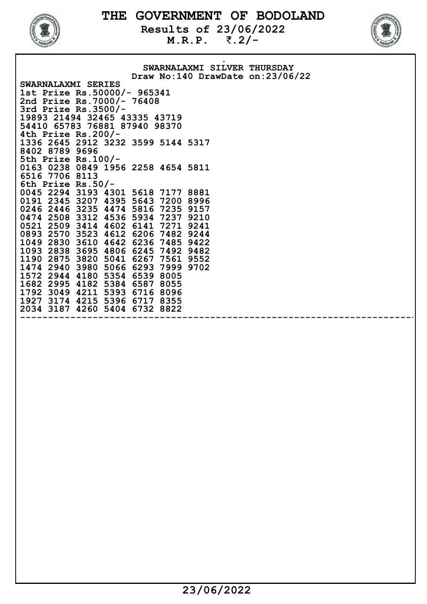

Results of  $23/06/2022$ <br>M.R.P.  $\bar{z}$ .2/- $M.R.P.$ 



**.** The contract of the contract of the contract of the contract of the contract of the contract of the contract of SWARNALAXMI SILVER THURSDAY Draw No:140 DrawDate on:23/06/22 SWARNALAXMI SERIES 1st Prize Rs.50000/- 965341 2nd Prize Rs.7000/- 76408 3rd Prize Rs.3500/- 19893 21494 32465 43335 43719 54410 65783 76881 87940 98370 4th Prize Rs.200/- 1336 2645 2912 3232 3599 5144 5317 8402 8789 9696 5th Prize Rs.100/- 0163 0238 0849 1956 2258 4654 5811 6516 7706 8113 6th Prize Rs.50/- 0045 2294 3193 4301 5618 7177 8881 0191 2345 3207 4395 5643 7200 8996 0246 2446 3235 4474 5816 7235 9157 0474 2508 3312 4536 5934 7237 9210 0521 2509 3414 4602 6141 7271 9241 0893 2570 3523 4612 6206 7482 9244 1049 2830 3610 4642 6236 7485 9422 1093 2838 3695 4806 6245 7492 9482 1190 2875 3820 5041 6267 7561 9552 1474 2940 3980 5066 6293 7999 9702 1572 2944 4180 5354 6539 8005 1682 2995 4182 5384 6587 8055 1792 3049 4211 5393 6716 8096 1927 3174 4215 5396 6717 8355 2034 3187 4260 5404 6732 8822 ------------------------------------------------------------------------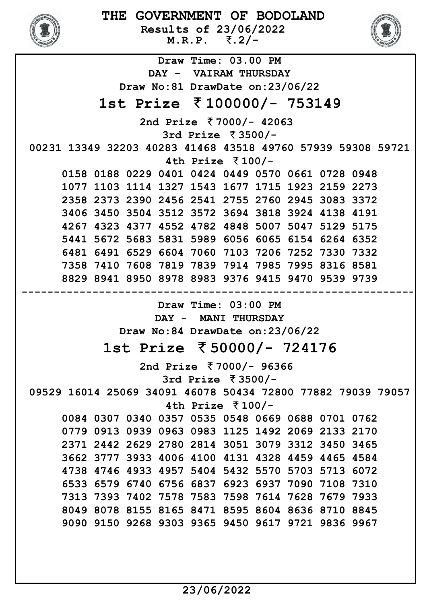

Results of 23/06/2022  $M.R.P.$   $\bar{\zeta}$ . 2/-